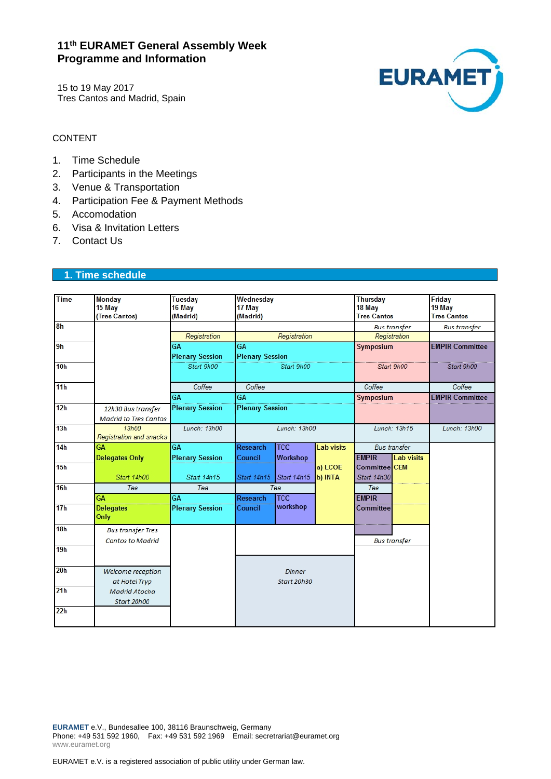# **11th EURAMET General Assembly Week Programme and Information**

15 to 19 May 2017 Tres Cantos and Madrid, Spain



#### CONTENT

- 1. Time Schedule
- 2. Participants in the Meetings
- 3. Venue & Transportation
- 4. Participation Fee & Payment Methods
- 5. Accomodation
- 6. Visa & Invitation Letters
- 7. Contact Us

### **1. Time schedule**

| <b>Time</b>     | Monday<br>15 May                                   | Tuesday<br>16 May      | Wednesday<br>17 May<br>(Madrid) |                 |                     | Thursday<br>18 May |                     | Friday<br>19 May       |
|-----------------|----------------------------------------------------|------------------------|---------------------------------|-----------------|---------------------|--------------------|---------------------|------------------------|
|                 | (Tres Cantos)                                      | (Madrid)               |                                 |                 |                     | <b>Tres Cantos</b> |                     | <b>Tres Cantos</b>     |
| 8 <sub>h</sub>  |                                                    |                        | Registration                    |                 | <b>Bus transfer</b> |                    | <b>Bus transfer</b> |                        |
|                 |                                                    | Registration           |                                 |                 | Registration        |                    |                     |                        |
| 9h              |                                                    | <b>GA</b>              | GA                              |                 |                     | Symposium          |                     | <b>EMPIR Committee</b> |
|                 |                                                    | <b>Plenary Session</b> | <b>Plenary Session</b>          |                 |                     |                    |                     |                        |
| 10 <sub>h</sub> |                                                    | Start 9h00             | Start 9h00                      |                 |                     |                    | Start 9h00          | Start 9h00             |
| 11 <sub>h</sub> |                                                    | Coffee                 | Coffee                          |                 |                     | Coffee             |                     | Coffee                 |
|                 |                                                    | <b>GA</b>              | <b>GA</b>                       |                 |                     | Symposium          |                     | <b>EMPIR Committee</b> |
| 12h             | 12h30 Bus transfer<br><b>Madrid to Tres Cantos</b> | <b>Plenary Session</b> | <b>Plenary Session</b>          |                 |                     |                    |                     |                        |
| 13h             | 13h00<br>Registration and snacks                   | Lunch: 13h00           | Lunch: 13h00                    |                 |                     | Lunch: 13h15       |                     | Lunch: 13h00           |
| 14h             | <b>GA</b>                                          | <b>GA</b>              | <b>Research</b>                 | <b>TCC</b>      | <b>Lab visits</b>   |                    | <b>Bus</b> transfer |                        |
|                 | <b>Delegates Only</b>                              | <b>Plenary Session</b> | Council                         | <b>Workshop</b> |                     | <b>EMPIR</b>       | <b>Lab visits</b>   |                        |
| 15h             |                                                    |                        |                                 |                 | a) LCOE             | Committee CEM      |                     |                        |
|                 | Start 14h00                                        | Start 14h15            | Start 14h15                     | Start 14h15     | b) INTA             | Start 14h30        |                     |                        |
| 16h             | Tea                                                | Tea                    | Tea                             |                 |                     | Tea                |                     |                        |
|                 | <b>GA</b>                                          | <b>GA</b>              | <b>Research</b>                 | <b>TCC</b>      |                     | <b>EMPIR</b>       |                     |                        |
| 17 <sub>h</sub> | <b>Delegates</b><br>Only                           | <b>Plenary Session</b> | Council                         | workshop        |                     | Committee          |                     |                        |
| 18h             | <b>Bus transfer Tres</b>                           |                        |                                 |                 |                     |                    |                     |                        |
|                 | <b>Cantos to Madrid</b>                            |                        |                                 |                 | <b>Bus transfer</b> |                    |                     |                        |
| 19h             |                                                    |                        |                                 |                 |                     |                    |                     |                        |
| 20h             | Welcome reception                                  |                        | Dinner<br>Start 20h30           |                 |                     |                    |                     |                        |
|                 | at Hotel Tryp                                      |                        |                                 |                 |                     |                    |                     |                        |
| 21h             | Madrid Atocha                                      |                        |                                 |                 |                     |                    |                     |                        |
|                 | Start 20h00                                        |                        |                                 |                 |                     |                    |                     |                        |
| 22h             |                                                    |                        |                                 |                 |                     |                    |                     |                        |

**EURAMET** e.V., Bundesallee 100, 38116 Braunschweig, Germany Phone: +49 531 592 1960, Fax: +49 531 592 1969 Email: secretrariat@euramet.org www.euramet.org

EURAMET e.V. is a registered association of public utility under German law.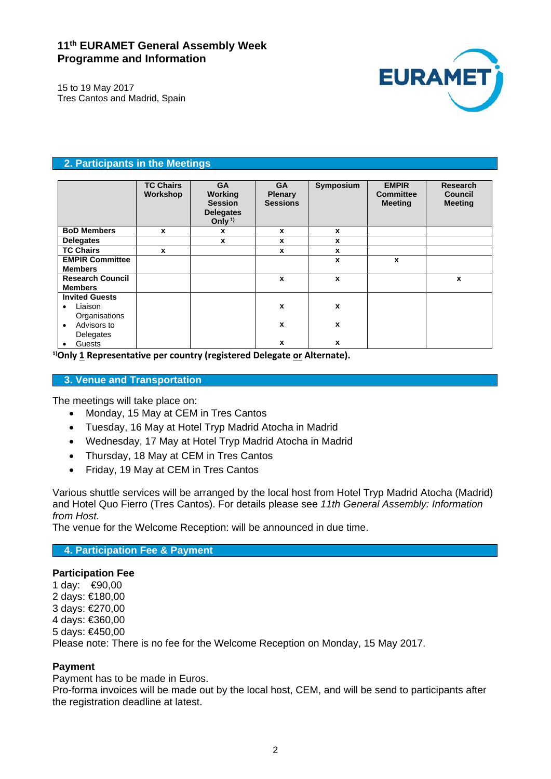# **11th EURAMET General Assembly Week Programme and Information**



15 to 19 May 2017 Tres Cantos and Madrid, Spain

## **2. Participants in the Meetings**

|                                           | <b>TC Chairs</b><br>Workshop | <b>GA</b><br>Working<br><b>Session</b><br><b>Delegates</b><br>Only <sup>1)</sup> | <b>GA</b><br><b>Plenary</b><br><b>Sessions</b> | Symposium | <b>EMPIR</b><br><b>Committee</b><br><b>Meeting</b> | Research<br>Council<br><b>Meeting</b> |
|-------------------------------------------|------------------------------|----------------------------------------------------------------------------------|------------------------------------------------|-----------|----------------------------------------------------|---------------------------------------|
| <b>BoD Members</b>                        | $\mathbf{x}$                 | X                                                                                | X                                              | X         |                                                    |                                       |
| <b>Delegates</b>                          |                              | X                                                                                | x                                              | X         |                                                    |                                       |
| <b>TC Chairs</b>                          | X                            |                                                                                  | X                                              | X         |                                                    |                                       |
| <b>EMPIR Committee</b><br><b>Members</b>  |                              |                                                                                  |                                                | X         | X                                                  |                                       |
| <b>Research Council</b><br><b>Members</b> |                              |                                                                                  | x                                              | X         |                                                    | X                                     |
| <b>Invited Guests</b>                     |                              |                                                                                  |                                                |           |                                                    |                                       |
| Liaison<br>٠<br>Organisations             |                              |                                                                                  | $\boldsymbol{x}$                               | X         |                                                    |                                       |
| Advisors to<br>٠<br>Delegates             |                              |                                                                                  | $\boldsymbol{x}$                               | x         |                                                    |                                       |
| Guests<br>٠                               |                              |                                                                                  | X                                              | X         |                                                    |                                       |

**1)Only 1 Representative per country (registered Delegate or Alternate).**

## **3. Venue and Transportation**

The meetings will take place on:

- Monday, 15 May at CEM in Tres Cantos
- Tuesday, 16 May at Hotel Tryp Madrid Atocha in Madrid
- Wednesday, 17 May at Hotel Tryp Madrid Atocha in Madrid
- Thursday, 18 May at CEM in Tres Cantos
- Friday, 19 May at CEM in Tres Cantos

Various shuttle services will be arranged by the local host from Hotel Tryp Madrid Atocha (Madrid) and Hotel Quo Fierro (Tres Cantos). For details please see *11th General Assembly: Information from Host.*

The venue for the Welcome Reception: will be announced in due time.

**4. Participation Fee & Payment** 

#### **Participation Fee**

1 day: €90,00 2 days: €180,00 3 days: €270,00 4 days: €360,00 5 days: €450,00 Please note: There is no fee for the Welcome Reception on Monday, 15 May 2017.

## **Payment**

Payment has to be made in Euros.

Pro-forma invoices will be made out by the local host, CEM, and will be send to participants after the registration deadline at latest.